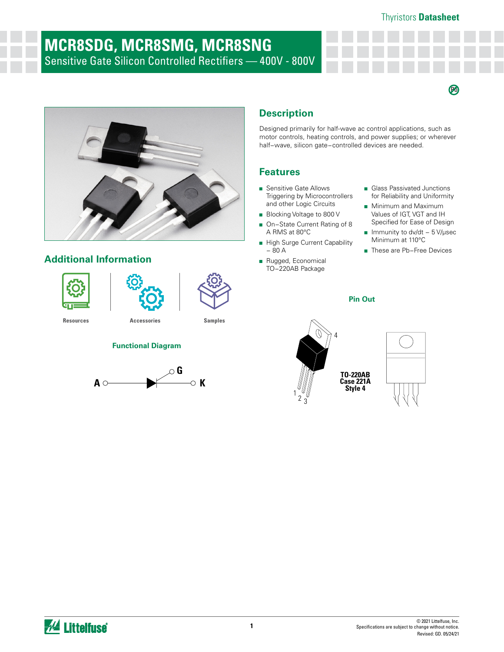$\boldsymbol{\varnothing}$ 

# **MCR8SDG, MCR8SMG, MCR8SNG** Sensitive Gate Silicon Controlled Rectifiers — 400V - 800V



## **Additional Information**







**[Resources](https://www.littelfuse.com/products/power-semiconductors/discrete-thyristors/scr/mcr8s.aspx#TechnicalResources) [Accessories](https://www.littelfuse.com/products/power-semiconductors/discrete-thyristors/scr/mcr8s.aspx#EnvironmentalInfo) [Samples](https://www.littelfuse.com/products/power-semiconductors/discrete-thyristors/scr/mcr8s.aspx#ElectricalCharacteristics)**

### **Functional Diagram**



## **Description**

Designed primarily for half-wave ac control applications, such as motor controls, heating controls, and power supplies; or wherever half−wave, silicon gate−controlled devices are needed.

#### **Features**

- Sensitive Gate Allows Triggering by Microcontrollers and other Logic Circuits
- Blocking Voltage to 800 V
- On–State Current Rating of 8 A RMS at 80°C
- High Surge Current Capability − 80 A
- Rugged, Economical TO−220AB Package
- Glass Passivated Junctions for Reliability and Uniformity
- Minimum and Maximum Values of IGT, VGT and IH Specified for Ease of Design
- Immunity to dv/dt 5 V/µsec Minimum at 110°C
- These are Pb-Free Devices

## **Pin Out**





*M* Littelfuse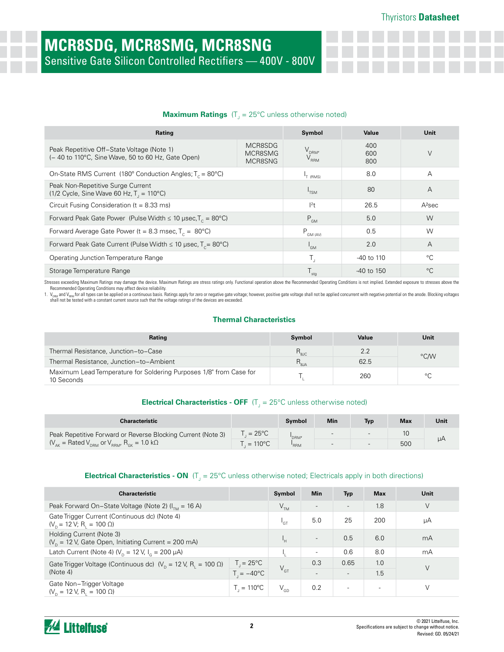#### **Maximum Ratings** (T<sub>J</sub> = 25°C unless otherwise noted)

| Rating                                                                                                               |                               | Symbol                         | Value             | Unit   |
|----------------------------------------------------------------------------------------------------------------------|-------------------------------|--------------------------------|-------------------|--------|
| Peak Repetitive Off-State Voltage (Note 1)<br>(- 40 to 110°C, Sine Wave, 50 to 60 Hz, Gate Open)                     | MCR8SDG<br>MCR8SMG<br>MCR8SNG | $V_{DRM'}$<br>$\rm V_{_{RRM}}$ | 400<br>600<br>800 | $\vee$ |
| On-State RMS Current (180 $^{\circ}$ Conduction Angles; T <sub>c</sub> = 80 $^{\circ}$ C)                            |                               | <sup>1</sup> T (RMS)           | 8.0               | A      |
| Peak Non-Repetitive Surge Current<br>$(1/2 \text{ Cycle}, \text{Sine Wave } 60 \text{ Hz}, T = 110^{\circ}\text{C})$ | $I_{TSM}$                     | -80                            | $\overline{A}$    |        |
| Circuit Fusing Consideration ( $t = 8.33$ ms)                                                                        | $12$ t                        | 26.5                           | $A2$ sec          |        |
| Forward Peak Gate Power (Pulse Width $\leq 10$ µsec, T <sub>c</sub> = 80°C)                                          | $P_{GM}$                      | 5.0                            | W                 |        |
| Forward Average Gate Power (t = 8.3 msec, $T_c = 80^{\circ}$ C)                                                      | $P_{GM (AV)}$                 | 0.5                            | W                 |        |
| Forward Peak Gate Current (Pulse Width $\leq$ 10 µsec, T <sub>c</sub> = 80°C)                                        | $I_{GMI}$                     | 2.0                            | $\overline{A}$    |        |
| Operating Junction Temperature Range                                                                                 | $T_{\rm d}$                   | -40 to 110                     | °C                |        |
| Storage Temperature Range                                                                                            | $T_{\text{stg}}$              | -40 to 150                     | $^{\circ}C$       |        |

Stresses exceeding Maximum Ratings may damage the device. Maximum Ratings are stress ratings only. Functional operation above the Recommended Operating Conditions is not implied. Extended exposure to stresses above the

Recommended Operating Conditions may affect device reliability.<br>1. V<sub>ises d</sub>and Y<sub>ises</sub> for all types can be applied on a continuous basis. Ratings apply for zero or negative gate voltage; however, positive gate voltage sh

#### **Thermal Characteristics**

| Rating                                                                           | Symbol           | Value | Unit    |
|----------------------------------------------------------------------------------|------------------|-------|---------|
| Thermal Resistance, Junction-to-Case                                             | $R_{\rm{soc}}$   | 2.2   | °C/W    |
| Thermal Resistance, Junction-to-Ambient                                          | $R_{\rm g_{JA}}$ | 62.5  |         |
| Maximum Lead Temperature for Soldering Purposes 1/8" from Case for<br>10 Seconds |                  | 260   | $\circ$ |

### **Electrical Characteristics - OFF** (T<sub>J</sub> = 25°C unless otherwise noted)

| <b>Characteristic</b>                                                      |                     | <b>Symbol</b>    | Min | Tvp                      | <b>Max</b> | Unit |
|----------------------------------------------------------------------------|---------------------|------------------|-----|--------------------------|------------|------|
| Peak Repetitive Forward or Reverse Blocking Current (Note 3)               | $=25^{\circ}$ C     | DRM'             |     |                          |            |      |
| $V_{AK}$ = Rated $V_{DRM}$ or $V_{RRM}$ , R <sub>GK</sub> = 1.0 k $\Omega$ | $T = 110^{\circ}$ C | RRM <sup>'</sup> | $-$ | $\overline{\phantom{a}}$ | 500        | μA   |

### **Electrical Characteristics - ON** (T<sub>J</sub> = 25°C unless otherwise noted; Electricals apply in both directions)

| <b>Characteristic</b>                                                             |                                           | Symbol          | <b>Min</b>               | <b>Typ</b>               | <b>Max</b>               | Unit |
|-----------------------------------------------------------------------------------|-------------------------------------------|-----------------|--------------------------|--------------------------|--------------------------|------|
| Peak Forward On-State Voltage (Note 2) $(I_{\tau_{M}} = 16 \text{ A})$            |                                           | $V_{TM}$        | $\overline{\phantom{a}}$ | $\overline{\phantom{a}}$ | 1.8                      | V    |
| Gate Trigger Current (Continuous dc) (Note 4)<br>$(V_p = 12 V; R_i = 100 \Omega)$ |                                           | $n_{\text{GT}}$ | 5.0                      | 25                       | 200                      | μA   |
| Holding Current (Note 3)<br>$(Vn = 12 V,$ Gate Open, Initiating Current = 200 mA) |                                           | ιн              | $\overline{\phantom{0}}$ | 0.5                      | 6.0                      | mA   |
| Latch Current (Note 4) ( $V_p = 12$ V, $I_q = 200$ $\mu$ A)                       |                                           |                 | $\overline{\phantom{a}}$ | 0.6                      | 8.0                      | mA   |
| Gate Trigger Voltage (Continuous dc) $(V_p = 12 V, R_1 = 100 \Omega)$             | $T_{\parallel} = 25^{\circ}C_{\parallel}$ |                 | 0.3                      | 0.65                     | 1.0                      | V    |
| (Note 4)                                                                          | $T = -40^{\circ}C$                        | $V_{GT}$        | $\overline{\phantom{0}}$ | $\overline{\phantom{a}}$ | 1.5                      |      |
| Gate Non-Trigger Voltage<br>$(V_{p} = 12 V, R_{i} = 100 \Omega)$                  | $T_{1} = 110^{\circ}C$                    | $V_{GD}$        | 0.2                      | $\overline{\phantom{0}}$ | $\overline{\phantom{0}}$ |      |

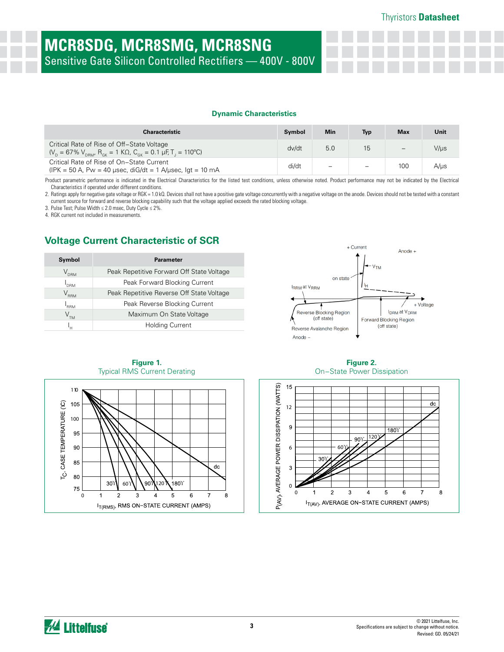# **MCR8SDG, MCR8SMG, MCR8SNG** Sensitive Gate Silicon Controlled Rectifiers — 400V - 800V

#### **Dynamic Characteristics**

| Characteristic                                                                                                                                          | Symbol | <b>Min</b>               | Typ | <b>Max</b> | Unit      |
|---------------------------------------------------------------------------------------------------------------------------------------------------------|--------|--------------------------|-----|------------|-----------|
| Critical Rate of Rise of Off-State Voltage<br>$(V_p = 67\% V_{pBM}$ , $R_{gK} = 1$ K $\Omega$ , $C_{gK} = 0.1$ µF, T <sub>1</sub> = 110 <sup>o</sup> C) | dv/dt  | 5.0                      | 15  |            | V/µs      |
| Critical Rate of Rise of On-State Current<br>(IPK = 50 A, Pw = 40 $\mu$ sec, diG/dt = 1 A/ $\mu$ sec, lgt = 10 mA                                       | di/dt  | $\overline{\phantom{m}}$ |     | 100        | $A/\mu s$ |

Product parametric performance is indicated in the Electrical Characteristics for the listed test conditions, unless otherwise noted. Product performance may not be indicated by the Electrical Characteristics if operated under different conditions.

2. Ratings apply for negative gate voltage or RGK = 1.0 kQ. Devices shall not have a positive gate voltage concurrently with a negative voltage on the anode. Devices should not be tested with a constant current source for forward and reverse blocking capability such that the voltage applied exceeds the rated blocking voltage.

3. Pulse Test; Pulse Width ≤ 2.0 msec, Duty Cycle ≤ 2%.

4. RGK current not included in measurements.

## **Voltage Current Characteristic of SCR**

| Symbol           | <b>Parameter</b>                          |
|------------------|-------------------------------------------|
| $\rm V_{_{DBM}}$ | Peak Repetitive Forward Off State Voltage |
| <b>DRM</b>       | Peak Forward Blocking Current             |
| $\rm V_{_{RRM}}$ | Peak Repetitive Reverse Off State Voltage |
| <b>RRM</b>       | Peak Reverse Blocking Current             |
|                  | Maximum On State Voltage                  |
| ۳                | <b>Holding Current</b>                    |





**Figure 1.** 

**Figure 2.**  On−State Power Dissipation

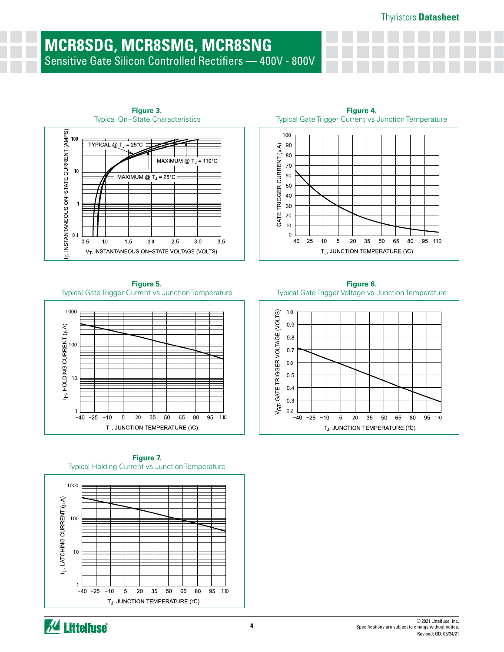## **MCR8SDG, MCR8SMG, MCR8SNG** Sensitive Gate Silicon Controlled Rectifiers — 400V - 800V



**Figure 5.** Typical Gate Trigger Current vs Junction Temperature



**Figure 7.**  Typical Holding Current vs Junction Temperature



Typical Gate Trigger Current vs Junction Temperature 100 GATE TRIGGER CURRENT (µA) 90 80 70 60 50 40 30 20 10  $0 -40$  $-25$  $-10$  $\,$  5  $\,$ 20  $35\,$ 50 65 80 95 110 TJ, JUNCTION TEMPERATURE (YC)

**Figure 4.** 

**Figure 6.**  Typical Gate Trigger Voltage vs Junction Temperature